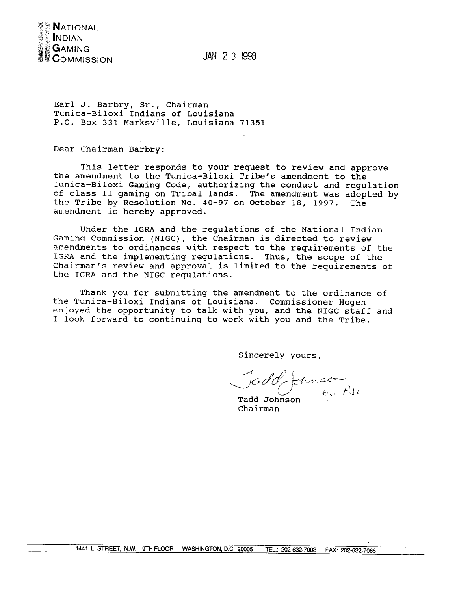

JAN 2 3 1998

Earl J. Barbry, Sr., Chairman Tunica-Biloxi Indians of Louisiana P.O. Box 331 Marksville, Louisiana 71351

Dear Chairman Barbry:

This letter responds to your request to review and approve the amendment to the Tunica-Biloxi Tribe's amendment to the Tunica-Biloxi Gaming Code, authorizing the conduct and regulation of class II gaming on Tribal lands. The amendment was adopted by the Tribe by Resolution No. 40-97 on October 18, 1997. The amendment is hereby approved.

Under the IGRA and the regulations of the National Indian Gaming Commission (NIGC), the Chairman is directed to review amendments to ordinances with respect to the requirements of the IGRA and the implementing regulations. Thus, the scope of the Chairman's review and approval is limited to the requirements of the IGRA and the NIGC regulations.

Thank you for submitting the amendment to the ordinance of the Tunica-Biloxi Indians of Louisiana. Commissioner Hogen enjoyed the opportunity to talk with you, and the NIGC staff and I look forward to continuing to work with you and the Tribe.

Sincerely yours,

Jadd Johnsen Tadd Johnson

Chairman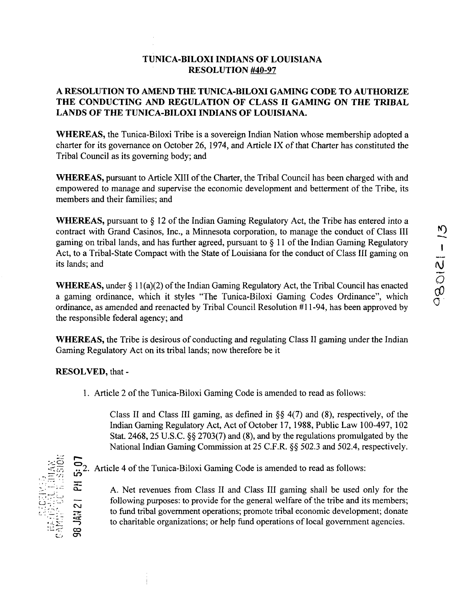## **TUNICA-BILOXI INDIANS OF LOUISIANA RESOLUTION #40-97**

## **A RESOLUTION TO AMEND THE TUTilCA~BILOM GAMING CODE TO AUTHORIZE THE CONDUCTING AND REGULATION OF CLASS II GAMING ON THE TRIBAL LANDS OF THE TUNICA-BILOXI INDIANS OF LOUISIANA.**

**WHEREAS, the Tunica-Biloxi Tribe is <sup>a</sup> sovereign Indian Nation whose membership adopted <sup>a</sup> charter for its governance on October 26, 1974, and Article IX of that Charter has constituted the Tribal Council as its governing body; and**

**WHEREAS,** pursuant to Article XIII of the Charter, the Tribal Council has been charged with and **empowered to manage and supervise the economic development and betterment of the Tribe, its members and their families; and**

**WHEREAS, pursuant to § <sup>12</sup> of the Indian Gaming Regulatory Act, the Tribe has entered into <sup>a</sup> contract with Grand Casinos, Inc., <sup>a</sup> Minnesota corporation, to manage the conduct of Class III gaming on tribal lands, and has further agreed, pursuant to § <sup>11</sup> of the Indian Gaming Regulatory Act, to a Tribal-State Compact with the State of Louisiana for the conduct of Class III gaming on its lands; and**

**WHEREAS, under § <sup>11</sup> (a)(2) of the Indian Gaming Regulatory Act, the Tribal Council has enacted <sup>a</sup> gaming ordinance, which it styles The Tunica-Biloxi Gaming Codes Ordinance, which ordinance, as amended and reenacted by Tribal Council Resolution #1 1-94, has been approved by the responsible federal agency; and**

**WHEREAS, the Tribe is desirous of conducting and regulating Class II gaming under the Indian Gaming Regulatory Act on its tribal lands; now therefore be it**

**RESOLVED, that -**

**1. Article 2 of the Tunica-Biloxi Gaming Code is amended to read as follows:**

**Class II and Class Ill gaming, as defined in §~ 4(7) and (8), respectively, of the Indian Gaming Regulatory Act, Act of October 17, 1988, Public Law 100-497, <sup>102</sup> Stat. 2468, 25 U.S.C. §~ 2703(7) and (8), and by the regulations promulgated by the National Indian Gaming Commission at 25 C.F.R. §~ 502.3 and 502.4, respectively.**

**-~ c-.) ~**

**:~C) ~ . . . 2. Article <sup>4</sup> of the Tunica-Biloxi Gaming Code is amended to read as follows: Lf)**

> **A. Net revenues from Class II and Class III gaming shall be used only for the following purposes: to provide for the general welfare of the tribe and its members; to fund tribal government operations; promote tribal economic development; donate to** charitable organizations; or help fund operations of local government agencies.